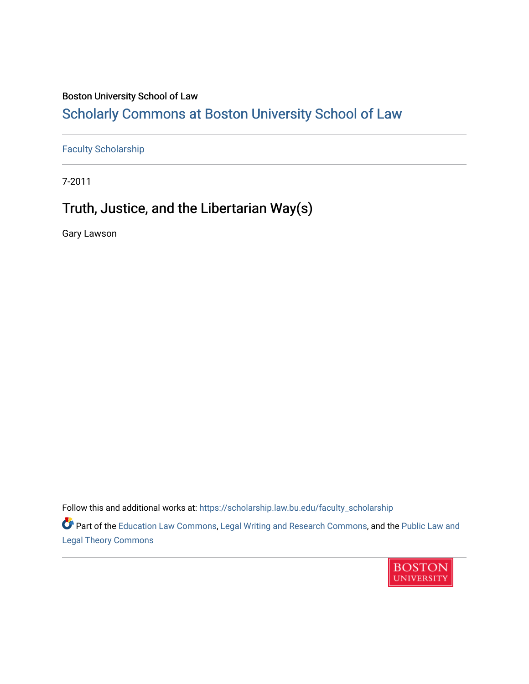# Boston University School of Law

# [Scholarly Commons at Boston University School of Law](https://scholarship.law.bu.edu/)

[Faculty Scholarship](https://scholarship.law.bu.edu/faculty_scholarship)

7-2011

# Truth, Justice, and the Libertarian Way(s)

Gary Lawson

[Legal Theory Commons](http://network.bepress.com/hgg/discipline/871?utm_source=scholarship.law.bu.edu%2Ffaculty_scholarship%2F711&utm_medium=PDF&utm_campaign=PDFCoverPages) 

Follow this and additional works at: [https://scholarship.law.bu.edu/faculty\\_scholarship](https://scholarship.law.bu.edu/faculty_scholarship?utm_source=scholarship.law.bu.edu%2Ffaculty_scholarship%2F711&utm_medium=PDF&utm_campaign=PDFCoverPages) Part of the [Education Law Commons,](http://network.bepress.com/hgg/discipline/596?utm_source=scholarship.law.bu.edu%2Ffaculty_scholarship%2F711&utm_medium=PDF&utm_campaign=PDFCoverPages) [Legal Writing and Research Commons,](http://network.bepress.com/hgg/discipline/614?utm_source=scholarship.law.bu.edu%2Ffaculty_scholarship%2F711&utm_medium=PDF&utm_campaign=PDFCoverPages) and the [Public Law and](http://network.bepress.com/hgg/discipline/871?utm_source=scholarship.law.bu.edu%2Ffaculty_scholarship%2F711&utm_medium=PDF&utm_campaign=PDFCoverPages)

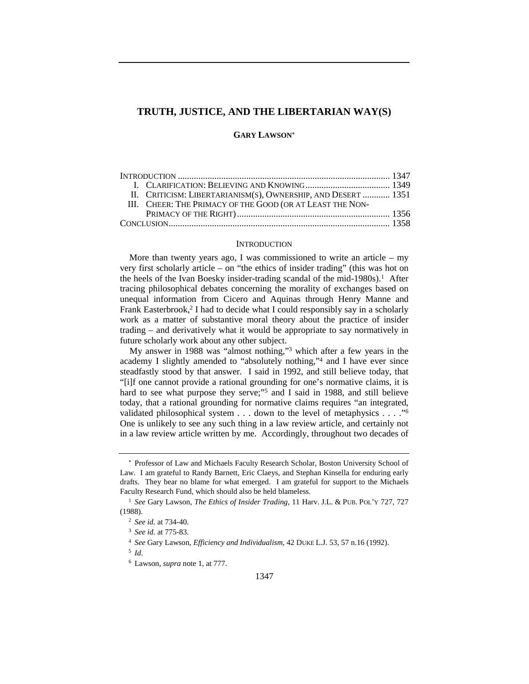## **TRUTH, JUSTICE, AND THE LIBERTARIAN WAY(S)**

## **GARY LAWSON**<sup>∗</sup>

|  | II. CRITICISM: LIBERTARIANISM(S), OWNERSHIP, AND DESERT  1351 |  |
|--|---------------------------------------------------------------|--|
|  | III. CHEER: THE PRIMACY OF THE GOOD (OR AT LEAST THE NON-     |  |
|  |                                                               |  |
|  |                                                               |  |

#### **INTRODUCTION**

More than twenty years ago, I was commissioned to write an article – my very first scholarly article – on "the ethics of insider trading" (this was hot on the heels of the Ivan Boesky insider-trading scandal of the mid-1980s).<sup>1</sup> After tracing philosophical debates concerning the morality of exchanges based on unequal information from Cicero and Aquinas through Henry Manne and Frank Easterbrook,<sup>2</sup> I had to decide what I could responsibly say in a scholarly work as a matter of substantive moral theory about the practice of insider trading – and derivatively what it would be appropriate to say normatively in future scholarly work about any other subject.

My answer in 1988 was "almost nothing,"3 which after a few years in the academy I slightly amended to "absolutely nothing,"4 and I have ever since steadfastly stood by that answer. I said in 1992, and still believe today, that "[i]f one cannot provide a rational grounding for one's normative claims, it is hard to see what purpose they serve;"<sup>5</sup> and I said in 1988, and still believe today, that a rational grounding for normative claims requires "an integrated, validated philosophical system . . . down to the level of metaphysics . . . ."6 One is unlikely to see any such thing in a law review article, and certainly not in a law review article written by me. Accordingly, throughout two decades of

<sup>∗</sup> Professor of Law and Michaels Faculty Research Scholar, Boston University School of Law. I am grateful to Randy Barnett, Eric Claeys, and Stephan Kinsella for enduring early drafts. They bear no blame for what emerged. I am grateful for support to the Michaels Faculty Research Fund, which should also be held blameless.

<sup>1</sup> *See* Gary Lawson, *The Ethics of Insider Trading*, 11 Harv. J.L. & PUB. POL'Y 727, 727 (1988).

<sup>2</sup> *See id.* at 734-40.

<sup>3</sup> *See id.* at 775-83.

<sup>4</sup> *See* Gary Lawson, *Efficiency and Individualism*, 42 DUKE L.J. 53, 57 n.16 (1992).

<sup>5</sup> *Id*.

<sup>6</sup> Lawson, *supra* note 1, at 777.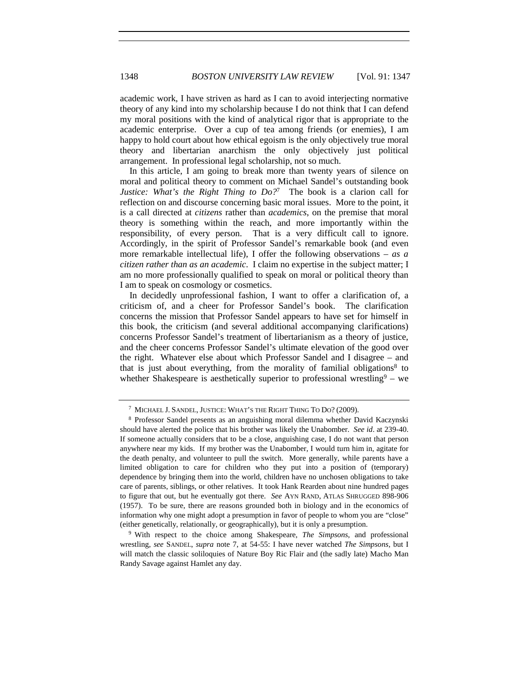academic work, I have striven as hard as I can to avoid interjecting normative theory of any kind into my scholarship because I do not think that I can defend my moral positions with the kind of analytical rigor that is appropriate to the academic enterprise. Over a cup of tea among friends (or enemies), I am happy to hold court about how ethical egoism is the only objectively true moral theory and libertarian anarchism the only objectively just political arrangement. In professional legal scholarship, not so much.

In this article, I am going to break more than twenty years of silence on moral and political theory to comment on Michael Sandel's outstanding book *Justice: What's the Right Thing to Do?*7 The book is a clarion call for reflection on and discourse concerning basic moral issues. More to the point, it is a call directed at *citizens* rather than *academics*, on the premise that moral theory is something within the reach, and more importantly within the responsibility, of every person. That is a very difficult call to ignore. Accordingly, in the spirit of Professor Sandel's remarkable book (and even more remarkable intellectual life), I offer the following observations – *as a citizen rather than as an academic*. I claim no expertise in the subject matter; I am no more professionally qualified to speak on moral or political theory than I am to speak on cosmology or cosmetics.

In decidedly unprofessional fashion, I want to offer a clarification of, a criticism of, and a cheer for Professor Sandel's book. The clarification concerns the mission that Professor Sandel appears to have set for himself in this book, the criticism (and several additional accompanying clarifications) concerns Professor Sandel's treatment of libertarianism as a theory of justice, and the cheer concerns Professor Sandel's ultimate elevation of the good over the right. Whatever else about which Professor Sandel and I disagree – and that is just about everything, from the morality of familial obligations<sup>8</sup> to whether Shakespeare is aesthetically superior to professional wrestling  $9 -$  we

<sup>7</sup> MICHAEL J. SANDEL, JUSTICE: WHAT'S THE RIGHT THING TO DO? (2009).

<sup>8</sup> Professor Sandel presents as an anguishing moral dilemma whether David Kaczynski should have alerted the police that his brother was likely the Unabomber. *See id*. at 239-40. If someone actually considers that to be a close, anguishing case, I do not want that person anywhere near my kids. If my brother was the Unabomber, I would turn him in, agitate for the death penalty, and volunteer to pull the switch. More generally, while parents have a limited obligation to care for children who they put into a position of (temporary) dependence by bringing them into the world, children have no unchosen obligations to take care of parents, siblings, or other relatives. It took Hank Rearden about nine hundred pages to figure that out, but he eventually got there. *See* AYN RAND, ATLAS SHRUGGED 898-906 (1957). To be sure, there are reasons grounded both in biology and in the economics of information why one might adopt a presumption in favor of people to whom you are "close"

<sup>(</sup>either genetically, relationally, or geographically), but it is only a presumption. 9 With respect to the choice among Shakespeare, *The Simpsons*, and professional wrestling, *see* SANDEL, *supra* note 7, at 54-55: I have never watched *The Simpsons,* but I will match the classic soliloquies of Nature Boy Ric Flair and (the sadly late) Macho Man Randy Savage against Hamlet any day.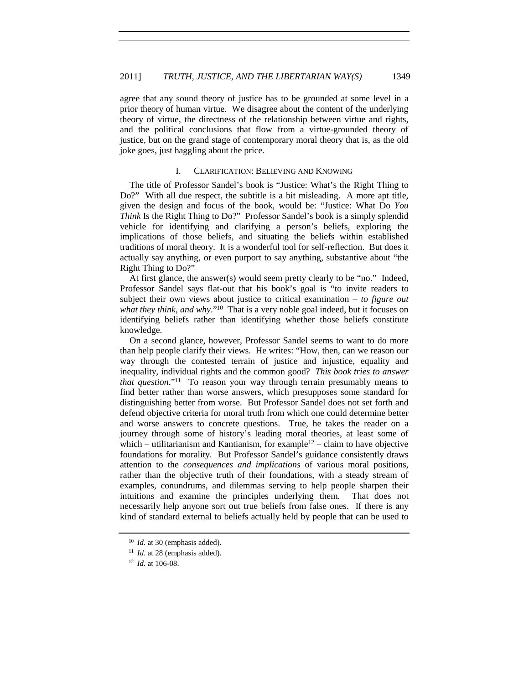agree that any sound theory of justice has to be grounded at some level in a prior theory of human virtue. We disagree about the content of the underlying theory of virtue, the directness of the relationship between virtue and rights, and the political conclusions that flow from a virtue-grounded theory of justice, but on the grand stage of contemporary moral theory that is, as the old joke goes, just haggling about the price.

### I. CLARIFICATION: BELIEVING AND KNOWING

The title of Professor Sandel's book is "Justice: What's the Right Thing to Do?" With all due respect, the subtitle is a bit misleading. A more apt title, given the design and focus of the book, would be: "Justice: What Do *You Think* Is the Right Thing to Do?" Professor Sandel's book is a simply splendid vehicle for identifying and clarifying a person's beliefs, exploring the implications of those beliefs, and situating the beliefs within established traditions of moral theory. It is a wonderful tool for self-reflection. But does it actually say anything, or even purport to say anything, substantive about "the Right Thing to Do?"

At first glance, the answer(s) would seem pretty clearly to be "no." Indeed, Professor Sandel says flat-out that his book's goal is "to invite readers to subject their own views about justice to critical examination – *to figure out what they think, and why*."10 That is a very noble goal indeed, but it focuses on identifying beliefs rather than identifying whether those beliefs constitute knowledge.

On a second glance, however, Professor Sandel seems to want to do more than help people clarify their views. He writes: "How, then, can we reason our way through the contested terrain of justice and injustice, equality and inequality, individual rights and the common good? *This book tries to answer that question*."11 To reason your way through terrain presumably means to find better rather than worse answers, which presupposes some standard for distinguishing better from worse. But Professor Sandel does not set forth and defend objective criteria for moral truth from which one could determine better and worse answers to concrete questions. True, he takes the reader on a journey through some of history's leading moral theories, at least some of which – utilitarianism and Kantianism, for example<sup>12</sup> – claim to have objective foundations for morality. But Professor Sandel's guidance consistently draws attention to the *consequences and implications* of various moral positions, rather than the objective truth of their foundations, with a steady stream of examples, conundrums, and dilemmas serving to help people sharpen their intuitions and examine the principles underlying them. That does not necessarily help anyone sort out true beliefs from false ones. If there is any kind of standard external to beliefs actually held by people that can be used to

<sup>10</sup> *Id*. at 30 (emphasis added).

<sup>&</sup>lt;sup>11</sup> *Id.* at 28 (emphasis added).

<sup>12</sup> *Id.* at 106-08.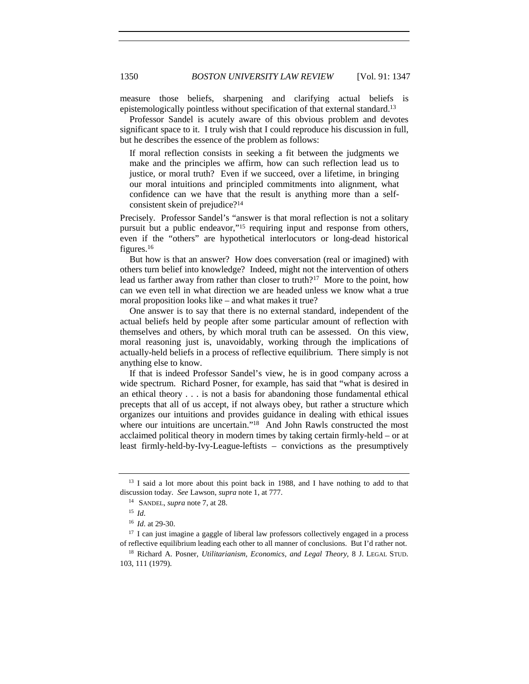measure those beliefs, sharpening and clarifying actual beliefs is epistemologically pointless without specification of that external standard.13

Professor Sandel is acutely aware of this obvious problem and devotes significant space to it. I truly wish that I could reproduce his discussion in full, but he describes the essence of the problem as follows:

If moral reflection consists in seeking a fit between the judgments we make and the principles we affirm, how can such reflection lead us to justice, or moral truth? Even if we succeed, over a lifetime, in bringing our moral intuitions and principled commitments into alignment, what confidence can we have that the result is anything more than a selfconsistent skein of prejudice?14

Precisely. Professor Sandel's "answer is that moral reflection is not a solitary pursuit but a public endeavor,"15 requiring input and response from others, even if the "others" are hypothetical interlocutors or long-dead historical figures.16

But how is that an answer? How does conversation (real or imagined) with others turn belief into knowledge? Indeed, might not the intervention of others lead us farther away from rather than closer to truth?<sup>17</sup> More to the point, how can we even tell in what direction we are headed unless we know what a true moral proposition looks like – and what makes it true?

One answer is to say that there is no external standard, independent of the actual beliefs held by people after some particular amount of reflection with themselves and others, by which moral truth can be assessed. On this view, moral reasoning just is, unavoidably, working through the implications of actually-held beliefs in a process of reflective equilibrium. There simply is not anything else to know.

If that is indeed Professor Sandel's view, he is in good company across a wide spectrum. Richard Posner, for example, has said that "what is desired in an ethical theory . . . is not a basis for abandoning those fundamental ethical precepts that all of us accept, if not always obey, but rather a structure which organizes our intuitions and provides guidance in dealing with ethical issues where our intuitions are uncertain."<sup>18</sup> And John Rawls constructed the most acclaimed political theory in modern times by taking certain firmly-held – or at least firmly-held-by-Ivy-League-leftists – convictions as the presumptively

<sup>17</sup> I can just imagine a gaggle of liberal law professors collectively engaged in a process of reflective equilibrium leading each other to all manner of conclusions. But I'd rather not.

<sup>&</sup>lt;sup>13</sup> I said a lot more about this point back in 1988, and I have nothing to add to that discussion today. *See* Lawson, *supra* note 1, at 777.

<sup>14</sup> SANDEL, *supra* note 7, at 28.

<sup>15</sup> *Id*.

<sup>16</sup> *Id*. at 29-30.

<sup>18</sup> Richard A. Posner, *Utilitarianism, Economics, and Legal Theory*, 8 J. LEGAL STUD. 103, 111 (1979).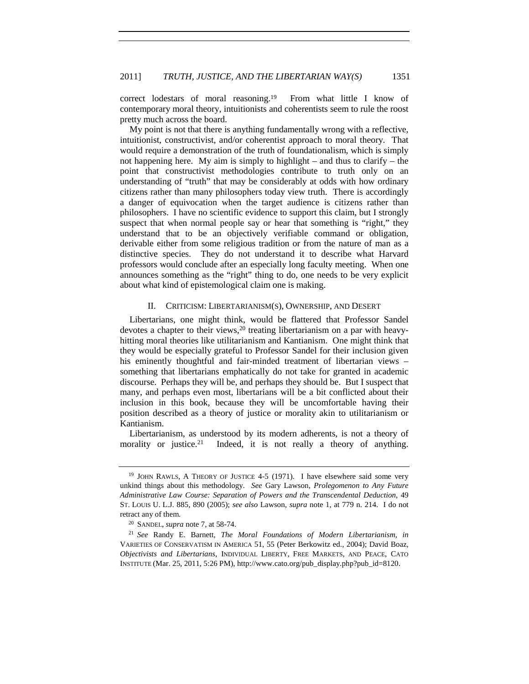correct lodestars of moral reasoning.19 From what little I know of contemporary moral theory, intuitionists and coherentists seem to rule the roost pretty much across the board.

My point is not that there is anything fundamentally wrong with a reflective, intuitionist, constructivist, and/or coherentist approach to moral theory. That would require a demonstration of the truth of foundationalism, which is simply not happening here. My aim is simply to highlight – and thus to clarify – the point that constructivist methodologies contribute to truth only on an understanding of "truth" that may be considerably at odds with how ordinary citizens rather than many philosophers today view truth. There is accordingly a danger of equivocation when the target audience is citizens rather than philosophers. I have no scientific evidence to support this claim, but I strongly suspect that when normal people say or hear that something is "right," they understand that to be an objectively verifiable command or obligation, derivable either from some religious tradition or from the nature of man as a distinctive species. They do not understand it to describe what Harvard professors would conclude after an especially long faculty meeting. When one announces something as the "right" thing to do, one needs to be very explicit about what kind of epistemological claim one is making.

# II. CRITICISM: LIBERTARIANISM(S), OWNERSHIP, AND DESERT

Libertarians, one might think, would be flattered that Professor Sandel devotes a chapter to their views,<sup>20</sup> treating libertarianism on a par with heavyhitting moral theories like utilitarianism and Kantianism. One might think that they would be especially grateful to Professor Sandel for their inclusion given his eminently thoughtful and fair-minded treatment of libertarian views something that libertarians emphatically do not take for granted in academic discourse. Perhaps they will be, and perhaps they should be. But I suspect that many, and perhaps even most, libertarians will be a bit conflicted about their inclusion in this book, because they will be uncomfortable having their position described as a theory of justice or morality akin to utilitarianism or Kantianism.

Libertarianism, as understood by its modern adherents, is not a theory of morality or justice.<sup>21</sup> Indeed, it is not really a theory of anything.

<sup>&</sup>lt;sup>19</sup> JOHN RAWLS, A THEORY OF JUSTICE 4-5 (1971). I have elsewhere said some very unkind things about this methodology. *See* Gary Lawson, *Prolegomenon to Any Future Administrative Law Course: Separation of Powers and the Transcendental Deduction*, 49 ST. LOUIS U. L.J. 885, 890 (2005); *see also* Lawson, *supra* note 1, at 779 n. 214. I do not retract any of them. 20 SANDEL, *supra* note 7, at 58-74.

<sup>21</sup> *See* Randy E. Barnett, *The Moral Foundations of Modern Libertarianism*, *in* VARIETIES OF CONSERVATISM IN AMERICA 51, 55 (Peter Berkowitz ed., 2004); David Boaz, *Objectivists and Libertarians*, INDIVIDUAL LIBERTY, FREE MARKETS, AND PEACE, CATO INSTITUTE (Mar. 25, 2011, 5:26 PM), http://www.cato.org/pub\_display.php?pub\_id=8120.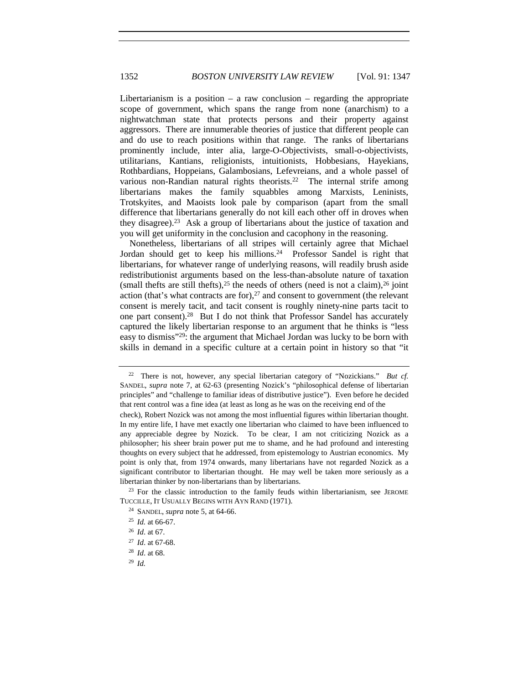Libertarianism is a position  $-$  a raw conclusion  $-$  regarding the appropriate scope of government, which spans the range from none (anarchism) to a nightwatchman state that protects persons and their property against aggressors. There are innumerable theories of justice that different people can and do use to reach positions within that range. The ranks of libertarians prominently include, inter alia, large-O-Objectivists, small-o-objectivists, utilitarians, Kantians, religionists, intuitionists, Hobbesians, Hayekians, Rothbardians, Hoppeians, Galambosians, Lefevreians, and a whole passel of various non-Randian natural rights theorists.<sup>22</sup> The internal strife among libertarians makes the family squabbles among Marxists, Leninists, Trotskyites, and Maoists look pale by comparison (apart from the small difference that libertarians generally do not kill each other off in droves when they disagree).23 Ask a group of libertarians about the justice of taxation and you will get uniformity in the conclusion and cacophony in the reasoning.

Nonetheless, libertarians of all stripes will certainly agree that Michael Jordan should get to keep his millions.<sup>24</sup> Professor Sandel is right that libertarians, for whatever range of underlying reasons, will readily brush aside redistributionist arguments based on the less-than-absolute nature of taxation (small thefts are still thefts),  $25$  the needs of others (need is not a claim),  $26$  joint action (that's what contracts are for), $27$  and consent to government (the relevant consent is merely tacit, and tacit consent is roughly ninety-nine parts tacit to one part consent).28 But I do not think that Professor Sandel has accurately captured the likely libertarian response to an argument that he thinks is "less easy to dismiss"29: the argument that Michael Jordan was lucky to be born with skills in demand in a specific culture at a certain point in history so that "it

<sup>28</sup> *Id*. at 68.

<sup>22</sup> There is not, however, any special libertarian category of "Nozickians." *But cf.*  SANDEL, *supra* note 7, at 62-63 (presenting Nozick's "philosophical defense of libertarian principles" and "challenge to familiar ideas of distributive justice"). Even before he decided that rent control was a fine idea (at least as long as he was on the receiving end of the

check), Robert Nozick was not among the most influential figures within libertarian thought. In my entire life, I have met exactly one libertarian who claimed to have been influenced to any appreciable degree by Nozick. To be clear, I am not criticizing Nozick as a philosopher; his sheer brain power put me to shame, and he had profound and interesting thoughts on every subject that he addressed, from epistemology to Austrian economics. My point is only that, from 1974 onwards, many libertarians have not regarded Nozick as a significant contributor to libertarian thought. He may well be taken more seriously as a libertarian thinker by non-libertarians than by libertarians.

 $23$  For the classic introduction to the family feuds within libertarianism, see JEROME TUCCILLE, IT USUALLY BEGINS WITH AYN RAND (1971).

<sup>24</sup> SANDEL, *supra* note 5, at 64-66.

<sup>25</sup> *Id.* at 66-67.

<sup>26</sup> *Id*. at 67.

<sup>27</sup> *Id*. at 67-68.

<sup>29</sup> *Id.*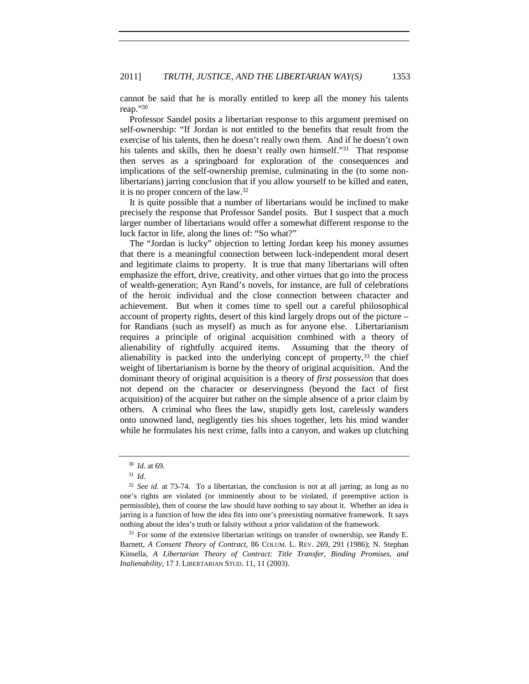cannot be said that he is morally entitled to keep all the money his talents reap."30

Professor Sandel posits a libertarian response to this argument premised on self-ownership: "If Jordan is not entitled to the benefits that result from the exercise of his talents, then he doesn't really own them. And if he doesn't own his talents and skills, then he doesn't really own himself."<sup>31</sup> That response then serves as a springboard for exploration of the consequences and implications of the self-ownership premise, culminating in the (to some nonlibertarians) jarring conclusion that if you allow yourself to be killed and eaten, it is no proper concern of the law.32

It is quite possible that a number of libertarians would be inclined to make precisely the response that Professor Sandel posits. But I suspect that a much larger number of libertarians would offer a somewhat different response to the luck factor in life, along the lines of: "So what?"

The "Jordan is lucky" objection to letting Jordan keep his money assumes that there is a meaningful connection between luck-independent moral desert and legitimate claims to property. It is true that many libertarians will often emphasize the effort, drive, creativity, and other virtues that go into the process of wealth-generation; Ayn Rand's novels, for instance, are full of celebrations of the heroic individual and the close connection between character and achievement. But when it comes time to spell out a careful philosophical account of property rights, desert of this kind largely drops out of the picture – for Randians (such as myself) as much as for anyone else. Libertarianism requires a principle of original acquisition combined with a theory of alienability of rightfully acquired items. Assuming that the theory of alienability is packed into the underlying concept of property, $33$  the chief weight of libertarianism is borne by the theory of original acquisition. And the dominant theory of original acquisition is a theory of *first possession* that does not depend on the character or deservingness (beyond the fact of first acquisition) of the acquirer but rather on the simple absence of a prior claim by others. A criminal who flees the law, stupidly gets lost, carelessly wanders onto unowned land, negligently ties his shoes together, lets his mind wander while he formulates his next crime, falls into a canyon, and wakes up clutching

<sup>33</sup> For some of the extensive libertarian writings on transfer of ownership, see Randy E. Barnett, *A Consent Theory of Contract*, 86 COLUM. L. REV. 269, 291 (1986); N. Stephan Kinsella, *A Libertarian Theory of Contract: Title Transfer, Binding Promises, and Inalienability*, 17 J. LIBERTARIAN STUD. 11, 11 (2003).

<sup>30</sup> *Id*. at 69.

<sup>31</sup> *Id*.

<sup>32</sup> *See id*. at 73-74. To a libertarian, the conclusion is not at all jarring; as long as no one's rights are violated (or imminently about to be violated, if preemptive action is permissible), then of course the law should have nothing to say about it. Whether an idea is jarring is a function of how the idea fits into one's preexisting normative framework. It says nothing about the idea's truth or falsity without a prior validation of the framework.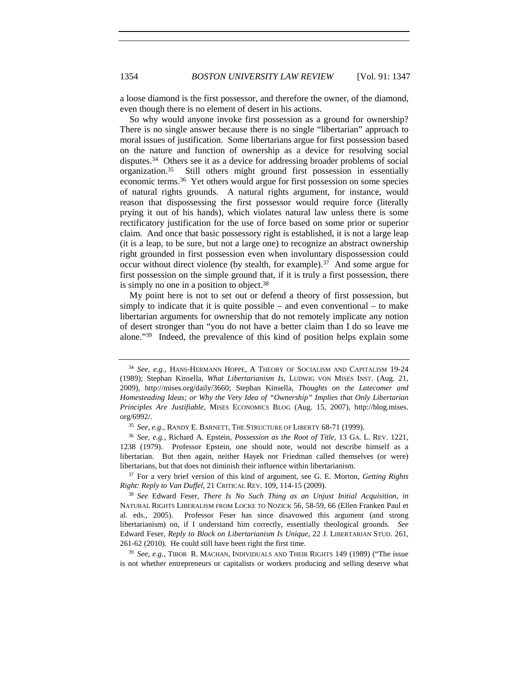a loose diamond is the first possessor, and therefore the owner, of the diamond, even though there is no element of desert in his actions.

So why would anyone invoke first possession as a ground for ownership? There is no single answer because there is no single "libertarian" approach to moral issues of justification. Some libertarians argue for first possession based on the nature and function of ownership as a device for resolving social disputes.34 Others see it as a device for addressing broader problems of social organization.35 Still others might ground first possession in essentially economic terms.36 Yet others would argue for first possession on some species of natural rights grounds. A natural rights argument, for instance, would reason that dispossessing the first possessor would require force (literally prying it out of his hands), which violates natural law unless there is some rectificatory justification for the use of force based on some prior or superior claim. And once that basic possessory right is established, it is not a large leap (it is a leap, to be sure, but not a large one) to recognize an abstract ownership right grounded in first possession even when involuntary dispossession could occur without direct violence (by stealth, for example).37 And some argue for first possession on the simple ground that, if it is truly a first possession, there is simply no one in a position to object.<sup>38</sup>

My point here is not to set out or defend a theory of first possession, but simply to indicate that it is quite possible  $-$  and even conventional  $-$  to make libertarian arguments for ownership that do not remotely implicate any notion of desert stronger than "you do not have a better claim than I do so leave me alone."39 Indeed, the prevalence of this kind of position helps explain some

<sup>37</sup> For a very brief version of this kind of argument, see G. E. Morton, *Getting Rights Right: Reply to Van Duffel*, 21 CRITICAL REV. 109, 114-15 (2009).

<sup>39</sup> *See*, *e.g.*, TIBOR R. MACHAN, INDIVIDUALS AND THEIR RIGHTS 149 (1989) ("The issue is not whether entrepreneurs or capitalists or workers producing and selling deserve what

<sup>34</sup> *See, e.g.*, HANS-HERMANN HOPPE, A THEORY OF SOCIALISM AND CAPITALISM 19-24 (1989); Stephan Kinsella, *What Libertarianism Is*, LUDWIG VON MISES INST. (Aug. 21, 2009), http://mises.org/daily/3660; Stephan Kinsella, *Thoughts on the Latecomer and Homesteading Ideas; or Why the Very Idea of "Ownership" Implies that Only Libertarian Principles Are Justifiable*, MISES ECONOMICS BLOG (Aug. 15, 2007), http://blog.mises. org/6992/.

<sup>35</sup> *See, e.g.*, RANDY E. BARNETT, THE STRUCTURE OF LIBERTY 68-71 (1999).

<sup>36</sup> *See, e.g.*, Richard A. Epstein, *Possession as the Root of Title*, 13 GA. L. REV. 1221, 1238 (1979). Professor Epstein, one should note, would not describe himself as a libertarian. But then again, neither Hayek nor Friedman called themselves (or were) libertarians, but that does not diminish their influence within libertarianism.

<sup>38</sup> *See* Edward Feser, *There Is No Such Thing as an Unjust Initial Acquisition*, *in* NATURAL RIGHTS LIBERALISM FROM LOCKE TO NOZICK 56, 58-59, 66 (Ellen Franken Paul et al. eds., 2005). Professor Feser has since disavowed this argument (and strong libertarianism) on, if I understand him correctly, essentially theological grounds. *See* Edward Feser, *Reply to Block on Libertarianism Is Unique*, 22 J. LIBERTARIAN STUD. 261, 261-62 (2010). He could still have been right the first time.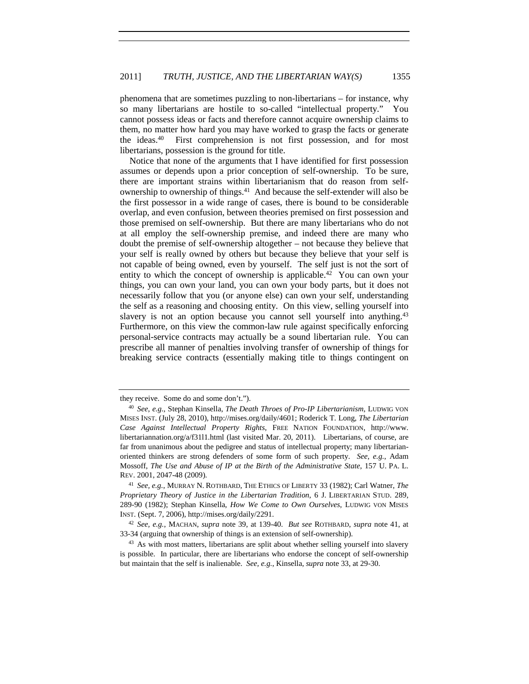phenomena that are sometimes puzzling to non-libertarians – for instance, why so many libertarians are hostile to so-called "intellectual property." You cannot possess ideas or facts and therefore cannot acquire ownership claims to them, no matter how hard you may have worked to grasp the facts or generate the ideas.40 First comprehension is not first possession, and for most libertarians, possession is the ground for title.

Notice that none of the arguments that I have identified for first possession assumes or depends upon a prior conception of self-ownership. To be sure, there are important strains within libertarianism that do reason from selfownership to ownership of things.41 And because the self-extender will also be the first possessor in a wide range of cases, there is bound to be considerable overlap, and even confusion, between theories premised on first possession and those premised on self-ownership. But there are many libertarians who do not at all employ the self-ownership premise, and indeed there are many who doubt the premise of self-ownership altogether – not because they believe that your self is really owned by others but because they believe that your self is not capable of being owned, even by yourself. The self just is not the sort of entity to which the concept of ownership is applicable.<sup>42</sup> You can own your things, you can own your land, you can own your body parts, but it does not necessarily follow that you (or anyone else) can own your self, understanding the self as a reasoning and choosing entity. On this view, selling yourself into slavery is not an option because you cannot sell yourself into anything.43 Furthermore, on this view the common-law rule against specifically enforcing personal-service contracts may actually be a sound libertarian rule. You can prescribe all manner of penalties involving transfer of ownership of things for breaking service contracts (essentially making title to things contingent on

they receive. Some do and some don't.").

<sup>40</sup> *See*, *e.g.*, Stephan Kinsella, *The Death Throes of Pro-IP Libertarianism*, LUDWIG VON MISES INST. (July 28, 2010), http://mises.org/daily/4601; Roderick T. Long, *The Libertarian Case Against Intellectual Property Rights*, FREE NATION FOUNDATION, http://www. libertariannation.org/a/f31l1.html (last visited Mar. 20, 2011). Libertarians, of course, are far from unanimous about the pedigree and status of intellectual property; many libertarianoriented thinkers are strong defenders of some form of such property. *See, e.g.*, Adam Mossoff, *The Use and Abuse of IP at the Birth of the Administrative State*, 157 U. PA. L. REV. 2001, 2047-48 (2009).

<sup>41</sup> *See, e.g.*, MURRAY N. ROTHBARD, THE ETHICS OF LIBERTY 33 (1982); Carl Watner, *The Proprietary Theory of Justice in the Libertarian Tradition*, 6 J. LIBERTARIAN STUD. 289, 289-90 (1982); Stephan Kinsella, *How We Come to Own Ourselves*, LUDWIG VON MISES INST. (Sept. 7, 2006), http://mises.org/daily/2291.

<sup>42</sup> *See, e.g.*, MACHAN, *supra* note 39, at 139-40. *But see* ROTHBARD, *supra* note 41, at 33-34 (arguing that ownership of things is an extension of self-ownership).

<sup>&</sup>lt;sup>43</sup> As with most matters, libertarians are split about whether selling yourself into slavery is possible. In particular, there are libertarians who endorse the concept of self-ownership but maintain that the self is inalienable. *See, e.g.*, Kinsella, *supra* note 33, at 29-30.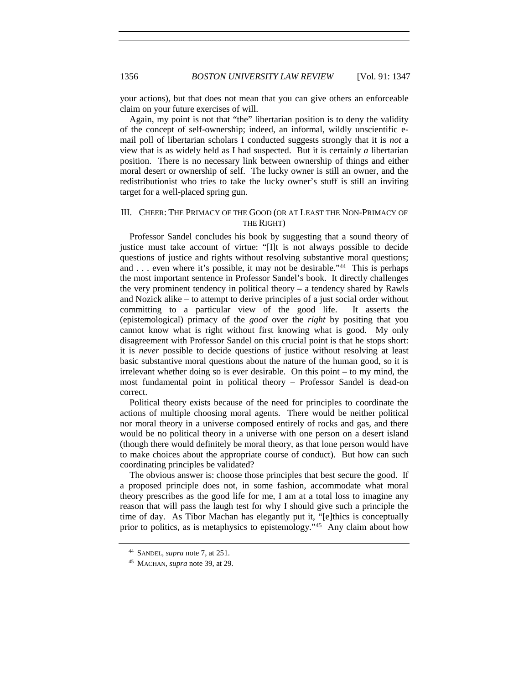your actions), but that does not mean that you can give others an enforceable claim on your future exercises of will.

Again, my point is not that "the" libertarian position is to deny the validity of the concept of self-ownership; indeed, an informal, wildly unscientific email poll of libertarian scholars I conducted suggests strongly that it is *not* a view that is as widely held as I had suspected. But it is certainly *a* libertarian position. There is no necessary link between ownership of things and either moral desert or ownership of self. The lucky owner is still an owner, and the redistributionist who tries to take the lucky owner's stuff is still an inviting target for a well-placed spring gun.

# III. CHEER: THE PRIMACY OF THE GOOD (OR AT LEAST THE NON-PRIMACY OF THE RIGHT)

Professor Sandel concludes his book by suggesting that a sound theory of justice must take account of virtue: "[I]t is not always possible to decide questions of justice and rights without resolving substantive moral questions; and . . . even where it's possible, it may not be desirable."44 This is perhaps the most important sentence in Professor Sandel's book. It directly challenges the very prominent tendency in political theory – a tendency shared by Rawls and Nozick alike – to attempt to derive principles of a just social order without committing to a particular view of the good life. It asserts the (epistemological) primacy of the *good* over the *right* by positing that you cannot know what is right without first knowing what is good. My only disagreement with Professor Sandel on this crucial point is that he stops short: it is *never* possible to decide questions of justice without resolving at least basic substantive moral questions about the nature of the human good, so it is irrelevant whether doing so is ever desirable. On this point – to my mind, the most fundamental point in political theory – Professor Sandel is dead-on correct.

Political theory exists because of the need for principles to coordinate the actions of multiple choosing moral agents. There would be neither political nor moral theory in a universe composed entirely of rocks and gas, and there would be no political theory in a universe with one person on a desert island (though there would definitely be moral theory, as that lone person would have to make choices about the appropriate course of conduct). But how can such coordinating principles be validated?

The obvious answer is: choose those principles that best secure the good. If a proposed principle does not, in some fashion, accommodate what moral theory prescribes as the good life for me, I am at a total loss to imagine any reason that will pass the laugh test for why I should give such a principle the time of day. As Tibor Machan has elegantly put it, "[e]thics is conceptually prior to politics, as is metaphysics to epistemology."45 Any claim about how

<sup>44</sup> SANDEL, *supra* note 7, at 251.

<sup>45</sup> MACHAN, *supra* note 39, at 29.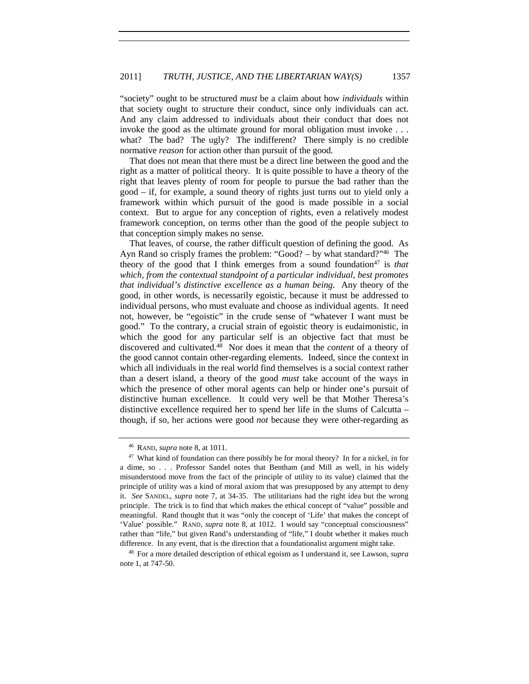"society" ought to be structured *must* be a claim about how *individuals* within that society ought to structure their conduct, since only individuals can act. And any claim addressed to individuals about their conduct that does not invoke the good as the ultimate ground for moral obligation must invoke . . . what? The bad? The ugly? The indifferent? There simply is no credible normative *reason* for action other than pursuit of the good.

That does not mean that there must be a direct line between the good and the right as a matter of political theory. It is quite possible to have a theory of the right that leaves plenty of room for people to pursue the bad rather than the good – if, for example, a sound theory of rights just turns out to yield only a framework within which pursuit of the good is made possible in a social context. But to argue for any conception of rights, even a relatively modest framework conception, on terms other than the good of the people subject to that conception simply makes no sense.

That leaves, of course, the rather difficult question of defining the good. As Ayn Rand so crisply frames the problem: "Good? – by what standard?"46 The theory of the good that I think emerges from a sound foundation<sup>47</sup> is *that which, from the contextual standpoint of a particular individual, best promotes that individual's distinctive excellence as a human being*. Any theory of the good, in other words, is necessarily egoistic, because it must be addressed to individual persons, who must evaluate and choose as individual agents. It need not, however, be "egoistic" in the crude sense of "whatever I want must be good." To the contrary, a crucial strain of egoistic theory is eudaimonistic, in which the good for any particular self is an objective fact that must be discovered and cultivated.48 Nor does it mean that the *content* of a theory of the good cannot contain other-regarding elements. Indeed, since the context in which all individuals in the real world find themselves is a social context rather than a desert island, a theory of the good *must* take account of the ways in which the presence of other moral agents can help or hinder one's pursuit of distinctive human excellence. It could very well be that Mother Theresa's distinctive excellence required her to spend her life in the slums of Calcutta – though, if so, her actions were good *not* because they were other-regarding as

<sup>46</sup> RAND, *supra* note 8, at 1011.

<sup>&</sup>lt;sup>47</sup> What kind of foundation can there possibly be for moral theory? In for a nickel, in for a dime, so . . . Professor Sandel notes that Bentham (and Mill as well, in his widely misunderstood move from the fact of the principle of utility to its value) claimed that the principle of utility was a kind of moral axiom that was presupposed by any attempt to deny it. *See* SANDEL, *supra* note 7, at 34-35. The utilitarians had the right idea but the wrong principle. The trick is to find that which makes the ethical concept of "value" possible and meaningful. Rand thought that it was "only the concept of 'Life' that makes the concept of 'Value' possible." RAND, *supra* note 8, at 1012. I would say "conceptual consciousness" rather than "life," but given Rand's understanding of "life," I doubt whether it makes much difference. In any event, that is the direction that a foundationalist argument might take.

<sup>48</sup> For a more detailed description of ethical egoism as I understand it, see Lawson, *supra* note 1, at 747-50.